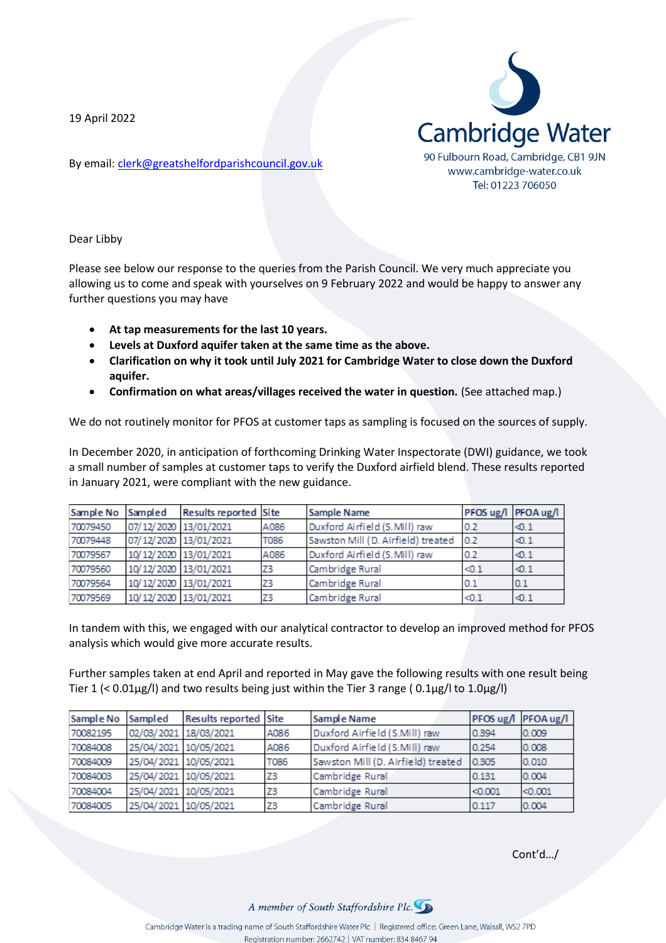19 April 2022

By email: [clerk@greatshelfordparishcouncil.gov.uk](mailto:clerk@greatshelfordparishcouncil.gov.uk)



Dear Libby

Please see below our response to the queries from the Parish Council. We very much appreciate you allowing us to come and speak with yourselves on 9 February 2022 and would be happy to answer any further questions you may have

- **At tap measurements for the last 10 years.**
- **Levels at Duxford aquifer taken at the same time as the above.**
- **Clarification on why it took until July 2021 for Cambridge Water to close down the Duxford aquifer.**
- **Confirmation on what areas/villages received the water in question.** (See attached map.)

We do not routinely monitor for PFOS at customer taps as sampling is focused on the sources of supply.

In December 2020, in anticipation of forthcoming Drinking Water Inspectorate (DWI) guidance, we took a small number of samples at customer taps to verify the Duxford airfield blend. These results reported in January 2021, were compliant with the new guidance.

| Sample No | Sampled               | <b>Results reported Site</b> |      | <b>Sample Name</b>                 |       | PFOS ug/l PFOA ug/l |
|-----------|-----------------------|------------------------------|------|------------------------------------|-------|---------------------|
| 70079450  | 07/12/2020 13/01/2021 |                              | A086 | Duxford Airfield (S.Mill) raw      | 0.2   | $\sim$ 0.1          |
| 70079448  | 07/12/2020 13/01/2021 |                              | T086 | Sawston Mill (D. Airfield) treated | 0.2   | $\sim$ 1            |
| 70079567  | 10/12/2020 13/01/2021 |                              | A086 | Duxford Airfield (S. Mill) raw     | 0.2   | $\sim$ 1            |
| 70079560  | 10/12/2020 13/01/2021 |                              | Z3   | Cambridge Rural                    | < 0.1 | $\sim$ 1            |
| 70079564  | 10/12/2020 13/01/2021 |                              | Z3   | Cambridge Rural                    | 0.1   | 0.1                 |
| 70079569  | 10/12/2020 13/01/2021 |                              | Z3   | Cambridge Rural                    | < 0.1 | $\sim$ 1            |

In tandem with this, we engaged with our analytical contractor to develop an improved method for PFOS analysis which would give more accurate results.

Further samples taken at end April and reported in May gave the following results with one result being Tier 1  $\langle$  0.01µg/l) and two results being just within the Tier 3 range (0.1µg/l to 1.0µg/l)

| Sample No | Sampled               | Results reported Site |             | Sample Name                        |         | PFOS ug/l PFOA ug/l |
|-----------|-----------------------|-----------------------|-------------|------------------------------------|---------|---------------------|
| 70082195  | 02/03/2021 18/03/2021 |                       | A086        | Duxford Airfield (S.Mill) raw      | 0.394   | 0.009               |
| 70084008  | 25/04/2021 10/05/2021 |                       | A086        | Duxford Airfield (S.Mill) raw      | 0.254   | 0.008               |
| 70084009  | 25/04/2021 10/05/2021 |                       | <b>T086</b> | Sawston Mill (D. Airfield) treated | 0.305   | 0.010               |
| 70084003  | 25/04/2021 10/05/2021 |                       | Z3          | Cambridge Rural                    | 0.131   | 0.004               |
| 70084004  | 25/04/2021 10/05/2021 |                       | Z3          | Cambridge Rural                    | < 0.001 | < 0.001             |
| 70084005  | 25/04/2021 10/05/2021 |                       | Z3          | Cambridge Rural                    | 0.117   | 0.004               |

Cont'd…/

A member of South Staffordshire Plc.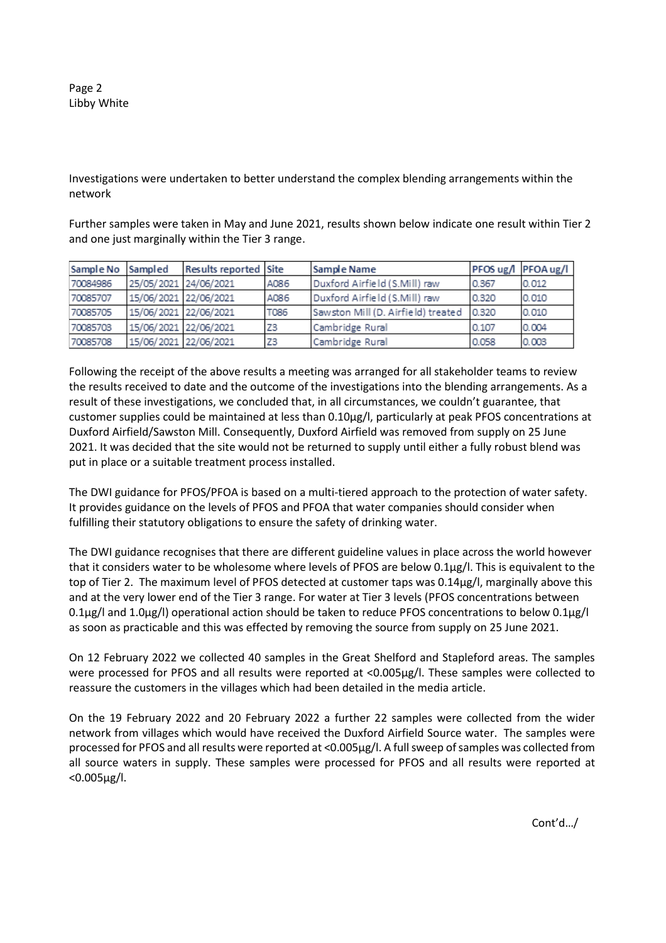Page 2 Libby White

Investigations were undertaken to better understand the complex blending arrangements within the network

Further samples were taken in May and June 2021, results shown below indicate one result within Tier 2 and one just marginally within the Tier 3 range.

| Sample No | Sampled               | Results reported Site |      | Sample Name                        | PFOS ug/l PFOA ug/l |       |
|-----------|-----------------------|-----------------------|------|------------------------------------|---------------------|-------|
| 70084986  | 25/05/2021 24/06/2021 |                       | A086 | Duxford Airfield (S.Mill) raw      | 0.367               | 0.012 |
| 70085707  | 15/06/2021 22/06/2021 |                       | A086 | Duxford Airfield (S.Mill) raw      | 0.320               | 0.010 |
| 70085705  | 15/06/2021 22/06/2021 |                       | T086 | Sawston Mill (D. Airfield) treated | 0.320               | 0.010 |
| 70085703  | 15/06/2021 22/06/2021 |                       | Z3   | Cambridge Rural                    | 0.107               | 0.004 |
| 70085708  | 15/06/2021 22/06/2021 |                       | Z3   | Cambridge Rural                    | 0.058               | 0.003 |

Following the receipt of the above results a meeting was arranged for all stakeholder teams to review the results received to date and the outcome of the investigations into the blending arrangements. As a result of these investigations, we concluded that, in all circumstances, we couldn't guarantee, that customer supplies could be maintained at less than 0.10µg/l, particularly at peak PFOS concentrations at Duxford Airfield/Sawston Mill. Consequently, Duxford Airfield was removed from supply on 25 June 2021. It was decided that the site would not be returned to supply until either a fully robust blend was put in place or a suitable treatment process installed.

The DWI guidance for PFOS/PFOA is based on a multi-tiered approach to the protection of water safety. It provides guidance on the levels of PFOS and PFOA that water companies should consider when fulfilling their statutory obligations to ensure the safety of drinking water.

The DWI guidance recognises that there are different guideline values in place across the world however that it considers water to be wholesome where levels of PFOS are below 0.1µg/l. This is equivalent to the top of Tier 2. The maximum level of PFOS detected at customer taps was 0.14µg/l, marginally above this and at the very lower end of the Tier 3 range. For water at Tier 3 levels (PFOS concentrations between 0.1µg/l and 1.0µg/l) operational action should be taken to reduce PFOS concentrations to below 0.1µg/l as soon as practicable and this was effected by removing the source from supply on 25 June 2021.

On 12 February 2022 we collected 40 samples in the Great Shelford and Stapleford areas. The samples were processed for PFOS and all results were reported at <0.005µg/l. These samples were collected to reassure the customers in the villages which had been detailed in the media article.

On the 19 February 2022 and 20 February 2022 a further 22 samples were collected from the wider network from villages which would have received the Duxford Airfield Source water. The samples were processed for PFOS and all results were reported at <0.005µg/l. A full sweep of samples was collected from all source waters in supply. These samples were processed for PFOS and all results were reported at <0.005µg/l.